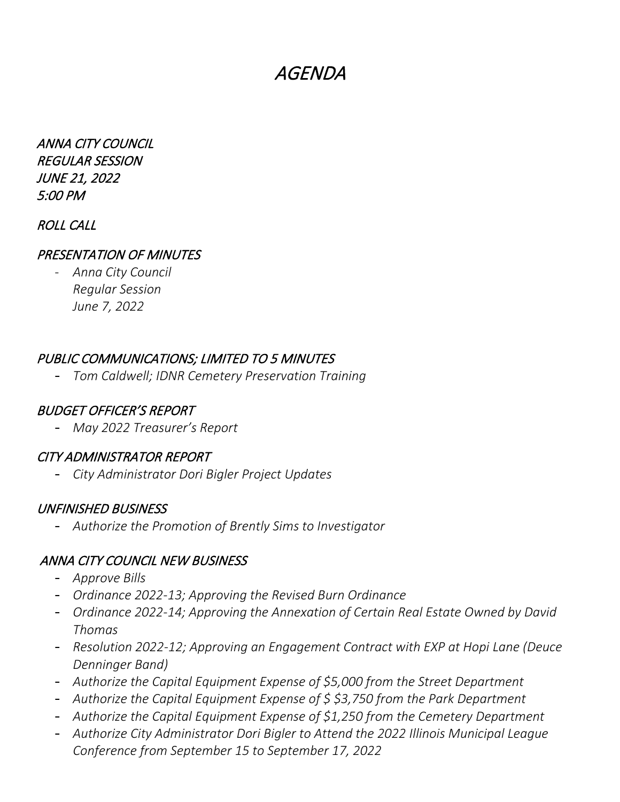# AGENDA

ANNA CITY COUNCIL REGULAR SESSION JUNE 21, 2022 5:00 PM

### ROLL CALL

#### PRESENTATION OF MINUTES

- *Anna City Council Regular Session June 7, 2022*

#### PUBLIC COMMUNICATIONS; LIMITED TO 5 MINUTES

- *Tom Caldwell; IDNR Cemetery Preservation Training*

#### BUDGET OFFICER'S REPORT

- *May 2022 Treasurer's Report*

#### CITY ADMINISTRATOR REPORT

- *City Administrator Dori Bigler Project Updates*

#### UNFINISHED BUSINESS

- *Authorize the Promotion of Brently Sims to Investigator*

#### ANNA CITY COUNCIL NEW BUSINESS

- *Approve Bills*
- *Ordinance 2022-13; Approving the Revised Burn Ordinance*
- *Ordinance 2022-14; Approving the Annexation of Certain Real Estate Owned by David Thomas*
- *Resolution 2022-12; Approving an Engagement Contract with EXP at Hopi Lane (Deuce Denninger Band)*
- *Authorize the Capital Equipment Expense of \$5,000 from the Street Department*
- *Authorize the Capital Equipment Expense of \$ \$3,750 from the Park Department*
- *Authorize the Capital Equipment Expense of \$1,250 from the Cemetery Department*
- *Authorize City Administrator Dori Bigler to Attend the 2022 Illinois Municipal League Conference from September 15 to September 17, 2022*